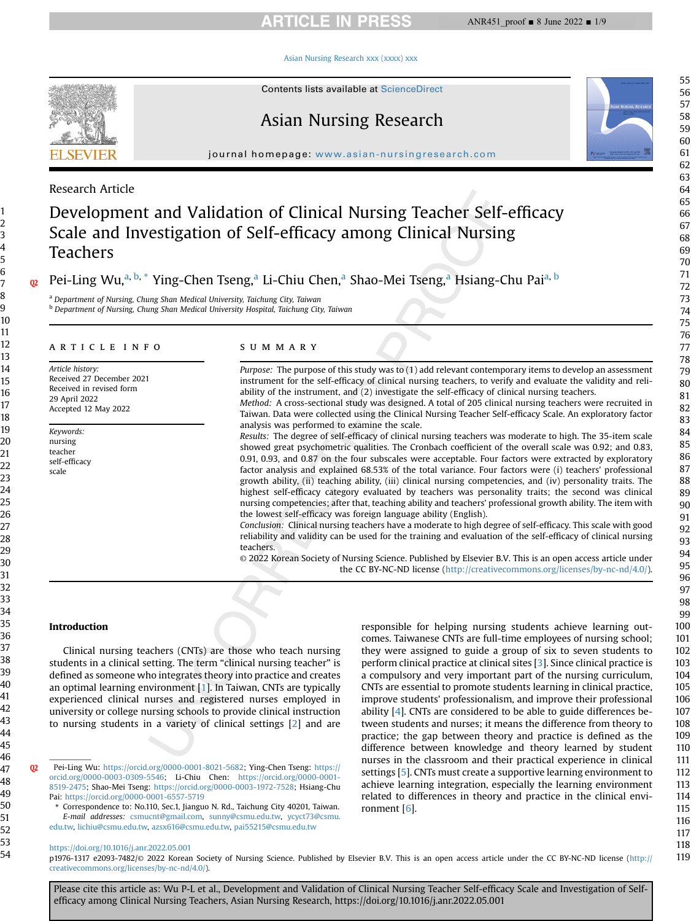# **ARTICLE IN PRESS**

#### [Asian Nursing Research xxx \(xxxx\) xxx](https://doi.org/10.1016/j.anr.2022.05.001)



Contents lists available at ScienceDirect

# Asian Nursing Research

journal homepage: [www.asian-nursingresearch.com](http://www.asian-nursingresearch.com)

# Research Article

# Development and Validation of Clinical Nursing Teacher Self-efficacy Scale and Investigation of Self-efficacy among Clinical Nursing Teachers

# Pei-Ling Wu,<sup>a, [b,](#page-0-1) \*</sup> Ying-Chen Tseng,<sup>[a](#page-0-0)</sup> Li-Chiu Chen,<sup>a</sup> Shao-Mei Tseng,<sup>a</sup> Hs[ia](#page-0-0)ng-Chu Pai<sup>a, [b](#page-0-1)</sup>

<span id="page-0-1"></span><span id="page-0-0"></span>a Department of Nursing, Chung Shan Medical University, Taichung City, Taiwan <sup>b</sup> Department of Nursing, Chung Shan Medical University Hospital, Taichung City, Taiwan

#### article info

Article history: Received 27 December 2021 Received in revised form 29 April 2022 Accepted 12 May 2022

Keywords: nursing teacher self-efficacy scale

# SUMMARY

Purpose: The purpose of this study was to (1) add relevant contemporary items to develop an assessment instrument for the self-efficacy of clinical nursing teachers, to verify and evaluate the validity and reliability of the instrument, and (2) investigate the self-efficacy of clinical nursing teachers. Method: A cross-sectional study was designed. A total of 205 clinical nursing teachers were recruited in

Taiwan. Data were collected using the Clinical Nursing Teacher Self-efficacy Scale. An exploratory factor analysis was performed to examine the scale.

Results: The degree of self-efficacy of clinical nursing teachers was moderate to high. The 35-item scale showed great psychometric qualities. The Cronbach coefficient of the overall scale was 0.92; and 0.83, 0.91, 0.93, and 0.87 on the four subscales were acceptable. Four factors were extracted by exploratory factor analysis and explained 68.53% of the total variance. Four factors were (i) teachers' professional growth ability, (ii) teaching ability, (iii) clinical nursing competencies, and (iv) personality traits. The highest self-efficacy category evaluated by teachers was personality traits; the second was clinical nursing competencies; after that, teaching ability and teachers' professional growth ability. The item with the lowest self-efficacy was foreign language ability (English).

Conclusion: Clinical nursing teachers have a moderate to high degree of self-efficacy. This scale with good reliability and validity can be used for the training and evaluation of the self-efficacy of clinical nursing teachers.

© 2022 Korean Society of Nursing Science. Published by Elsevier B.V. This is an open access article under the CC BY-NC-ND license [\(http://creativecommons.org/licenses/by-nc-nd/4.0/](http://creativecommons.org/licenses/by-nc-nd/4.0/)).

#### Introduction

Clinical nursing teachers (CNTs) are those who teach nursing students in a clinical setting. The term "clinical nursing teacher" is defined as someone who integrates theory into practice and creates an optimal learning environment [\[1](#page-7-0)]. In Taiwan, CNTs are typically experienced clinical nurses and registered nurses employed in university or college nursing schools to provide clinical instruction to nursing students in a variety of clinical settings [[2\]](#page-7-1) and are

Pei-Ling Wu: <https://orcid.org/0000-0001-8021-5682>; Ying-Chen Tseng: [https://](https://orcid.org/0000-0003-0309-5546) [orcid.org/0000-0003-0309-5546;](https://orcid.org/0000-0003-0309-5546) Li-Chiu Chen: [https://orcid.org/0000-0001-](https://orcid.org/0000-0001-8519-2475) [8519-2475](https://orcid.org/0000-0001-8519-2475); Shao-Mei Tseng: <https://orcid.org/0000-0003-1972-7528>; Hsiang-Chu Pai: <https://orcid.org/0000-0001-6557-5719>

Correspondence to: No.110, Sec.1, Jianguo N. Rd., Taichung City 40201, Taiwan. E-mail addresses: [csmucnt@gmail.com](mailto:csmucnt@gmail.com), [sunny@csmu.edu.tw,](mailto:sunny@csmu.edu.tw) [ycyct73@csmu.](mailto:ycyct73@csmu.edu.tw)

[edu.tw](mailto:ycyct73@csmu.edu.tw), [lichiu@csmu.edu.tw](mailto:lichiu@csmu.edu.tw), [azsx616@csmu.edu.tw](mailto:azsx616@csmu.edu.tw), [pai55215@csmu.edu.tw](mailto:pai55215@csmu.edu.tw)

responsible for helping nursing students achieve learning outcomes. Taiwanese CNTs are full-time employees of nursing school; they were assigned to guide a group of six to seven students to perform clinical practice at clinical sites [\[3](#page-7-2)]. Since clinical practice is a compulsory and very important part of the nursing curriculum, CNTs are essential to promote students learning in clinical practice, improve students' professionalism, and improve their professional ability [[4](#page-7-3)]. CNTs are considered to be able to guide differences between students and nurses; it means the difference from theory to practice; the gap between theory and practice is defined as the difference between knowledge and theory learned by student nurses in the classroom and their practical experience in clinical settings [[5](#page-7-4)]. CNTs must create a supportive learning environment to achieve learning integration, especially the learning environment related to differences in theory and practice in the clinical environment [[6\]](#page-7-5).

<https://doi.org/10.1016/j.anr.2022.05.001>

p1976-1317 e2093-7482/© 2022 Korean Society of Nursing Science. Published by Elsevier B.V. This is an open access article under the CC BY-NC-ND license ([http://](http://creativecommons.org/licenses/by-nc-nd/4.0/) [creativecommons.org/licenses/by-nc-nd/4.0/](http://creativecommons.org/licenses/by-nc-nd/4.0/)).

Please cite this article as: Wu P-L et al., Development and Validation of Clinical Nursing Teacher Self-efficacy Scale and Investigation of Selfefficacy among Clinical Nursing Teachers, Asian Nursing Research, https://doi.org/10.1016/j.anr.2022.05.001

1 2 3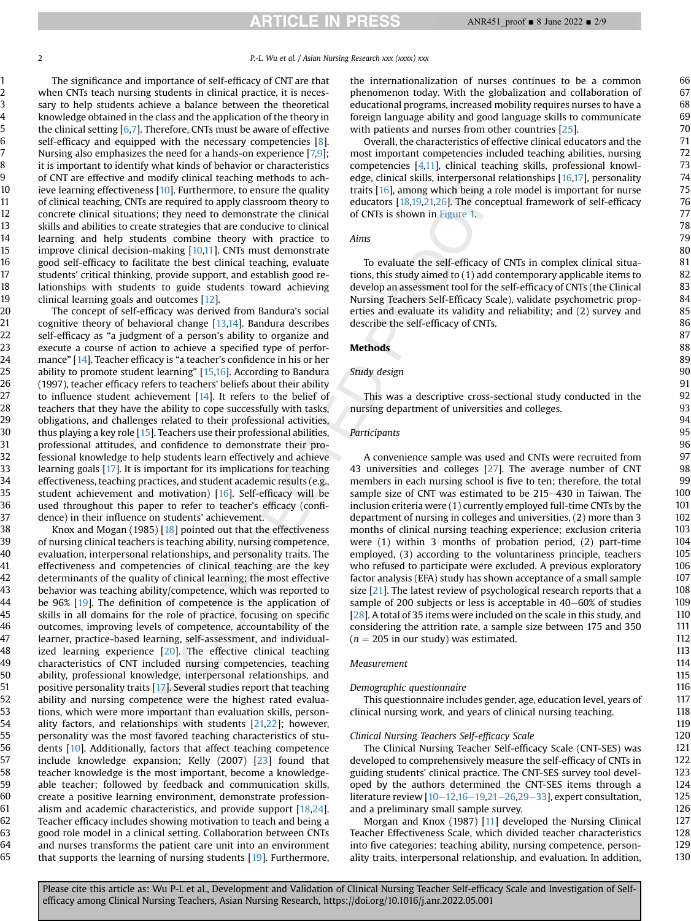129 130

2 **P.**-L. Wu et al. / Asian Nursing Research xxx (xxxx) xxx

The significance and importance of self-efficacy of CNT are that when CNTs teach nursing students in clinical practice, it is necessary to help students achieve a balance between the theoretical knowledge obtained in the class and the application of the theory in the clinical setting [[6](#page-7-5)[,7\]](#page-7-6). Therefore, CNTs must be aware of effective self-efficacy and equipped with the necessary competencies [\[8](#page-7-7)]. Nursing also emphasizes the need for a hands-on experience [\[7,](#page-7-6)[9](#page-7-8)]; it is important to identify what kinds of behavior or characteristics of CNT are effective and modify clinical teaching methods to achieve learning effectiveness [[10](#page-7-9)]. Furthermore, to ensure the quality of clinical teaching, CNTs are required to apply classroom theory to concrete clinical situations; they need to demonstrate the clinical skills and abilities to create strategies that are conducive to clinical learning and help students combine theory with practice to improve clinical decision-making [[10,](#page-7-9)[11](#page-7-10)]. CNTs must demonstrate good self-efficacy to facilitate the best clinical teaching, evaluate students' critical thinking, provide support, and establish good relationships with students to guide students toward achieving clinical learning goals and outcomes [\[12](#page-7-11)].

The concept of self-efficacy was derived from Bandura's social cognitive theory of behavioral change [\[13](#page-7-12)[,14](#page-7-13)]. Bandura describes self-efficacy as "a judgment of a person's ability to organize and execute a course of action to achieve a specified type of performance" [\[14](#page-7-13)]. Teacher efficacy is "a teacher's confidence in his or her ability to promote student learning" [\[15](#page-7-14)[,16\]](#page-7-15). According to Bandura (1997), teacher efficacy refers to teachers' beliefs about their ability to influence student achievement [\[14](#page-7-13)]. It refers to the belief of teachers that they have the ability to cope successfully with tasks, obligations, and challenges related to their professional activities, thus playing a key role [[15\]](#page-7-14). Teachers use their professional abilities, professional attitudes, and confidence to demonstrate their professional knowledge to help students learn effectively and achieve learning goals [\[17](#page-7-16)]. It is important for its implications for teaching effectiveness, teaching practices, and student academic results (e.g., student achievement and motivation) [\[16](#page-7-15)]. Self-efficacy will be used throughout this paper to refer to teacher's efficacy (confidence) in their influence on students' achievement.

Knox and Mogan (1985)  $[18]$  $[18]$  pointed out that the effectiveness of nursing clinical teachers is teaching ability, nursing competence, evaluation, interpersonal relationships, and personality traits. The effectiveness and competencies of clinical teaching are the key determinants of the quality of clinical learning; the most effective behavior was teaching ability/competence, which was reported to be 96% [[19](#page-7-18)]. The definition of competence is the application of skills in all domains for the role of practice, focusing on specific outcomes, improving levels of competence, accountability of the learner, practice-based learning, self-assessment, and individualized learning experience [\[20\]](#page-7-19). The effective clinical teaching characteristics of CNT included nursing competencies, teaching ability, professional knowledge, interpersonal relationships, and positive personality traits [\[17](#page-7-16)]. Several studies report that teaching ability and nursing competence were the highest rated evaluations, which were more important than evaluation skills, personality factors, and relationships with students [\[21,](#page-7-20)[22](#page-7-21)]; however, personality was the most favored teaching characteristics of students [\[10](#page-7-9)]. Additionally, factors that affect teaching competence include knowledge expansion; Kelly (2007) [[23](#page-7-22)] found that teacher knowledge is the most important, become a knowledgeable teacher; followed by feedback and communication skills, create a positive learning environment, demonstrate professionalism and academic characteristics, and provide support [[18,](#page-7-17)[24\]](#page-7-23). Teacher efficacy includes showing motivation to teach and being a good role model in a clinical setting. Collaboration between CNTs and nurses transforms the patient care unit into an environment that supports the learning of nursing students [[19\]](#page-7-18). Furthermore, 38 39 40 41 42 43 44 45 46 47 48 49 50 51 52 53 54 55 56 57 58 59 60 61 62 63 64 65

the internationalization of nurses continues to be a common phenomenon today. With the globalization and collaboration of educational programs, increased mobility requires nurses to have a foreign language ability and good language skills to communicate with patients and nurses from other countries [[25](#page-7-24)].

Overall, the characteristics of effective clinical educators and the most important competencies included teaching abilities, nursing competencies [[4](#page-7-3)[,11](#page-7-10)], clinical teaching skills, professional knowledge, clinical skills, interpersonal relationships [\[16](#page-7-15)[,17](#page-7-16)], personality traits [[16\]](#page-7-15), among which being a role model is important for nurse educators [\[18](#page-7-17)[,19,](#page-7-18)[21,](#page-7-20)[26](#page-7-25)]. The conceptual framework of self-efficacy of CNTs is shown in [Figure 1.](#page-2-0)

#### Aims

To evaluate the self-efficacy of CNTs in complex clinical situations, this study aimed to (1) add contemporary applicable items to develop an assessment tool for the self-efficacy of CNTs (the Clinical Nursing Teachers Self-Efficacy Scale), validate psychometric properties and evaluate its validity and reliability; and (2) survey and describe the self-efficacy of CNTs.

#### Methods

#### Study design

This was a descriptive cross-sectional study conducted in the nursing department of universities and colleges.

#### Participants

A convenience sample was used and CNTs were recruited from 43 universities and colleges [\[27\]](#page-7-26). The average number of CNT members in each nursing school is five to ten; therefore, the total sample size of CNT was estimated to be 215–430 in Taiwan. The inclusion criteria were (1) currently employed full-time CNTs by the department of nursing in colleges and universities, (2) more than 3 months of clinical nursing teaching experience; exclusion criteria were (1) within 3 months of probation period, (2) part-time employed, (3) according to the voluntariness principle, teachers who refused to participate were excluded. A previous exploratory factor analysis (EFA) study has shown acceptance of a small sample size [\[21\]](#page-7-20). The latest review of psychological research reports that a sample of 200 subjects or less is acceptable in  $40-60\%$  of studies [[28](#page-7-27)]. A total of 35 items were included on the scale in this study, and considering the attrition rate, a sample size between 175 and 350  $(n = 205$  in our study) was estimated.

#### Measurement

#### Demographic questionnaire

This questionnaire includes gender, age, education level, years of clinical nursing work, and years of clinical nursing teaching.

#### Clinical Nursing Teachers Self-efficacy Scale

The Clinical Nursing Teacher Self-efficacy Scale (CNT-SES) was developed to comprehensively measure the self-efficacy of CNTs in guiding students' clinical practice. The CNT-SES survey tool developed by the authors determined the CNT-SES items through a literature review  $[10-12,16-19,21-26,29-33]$  $[10-12,16-19,21-26,29-33]$  $[10-12,16-19,21-26,29-33]$  $[10-12,16-19,21-26,29-33]$  $[10-12,16-19,21-26,29-33]$  $[10-12,16-19,21-26,29-33]$  $[10-12,16-19,21-26,29-33]$  $[10-12,16-19,21-26,29-33]$  $[10-12,16-19,21-26,29-33]$  $[10-12,16-19,21-26,29-33]$  $[10-12,16-19,21-26,29-33]$  $[10-12,16-19,21-26,29-33]$  $[10-12,16-19,21-26,29-33]$  $[10-12,16-19,21-26,29-33]$ , expert consultation, and a preliminary small sample survey.

Morgan and Knox (1987) [\[11\]](#page-7-10) developed the Nursing Clinical Teacher Effectiveness Scale, which divided teacher characteristics into five categories: teaching ability, nursing competence, personality traits, interpersonal relationship, and evaluation. In addition,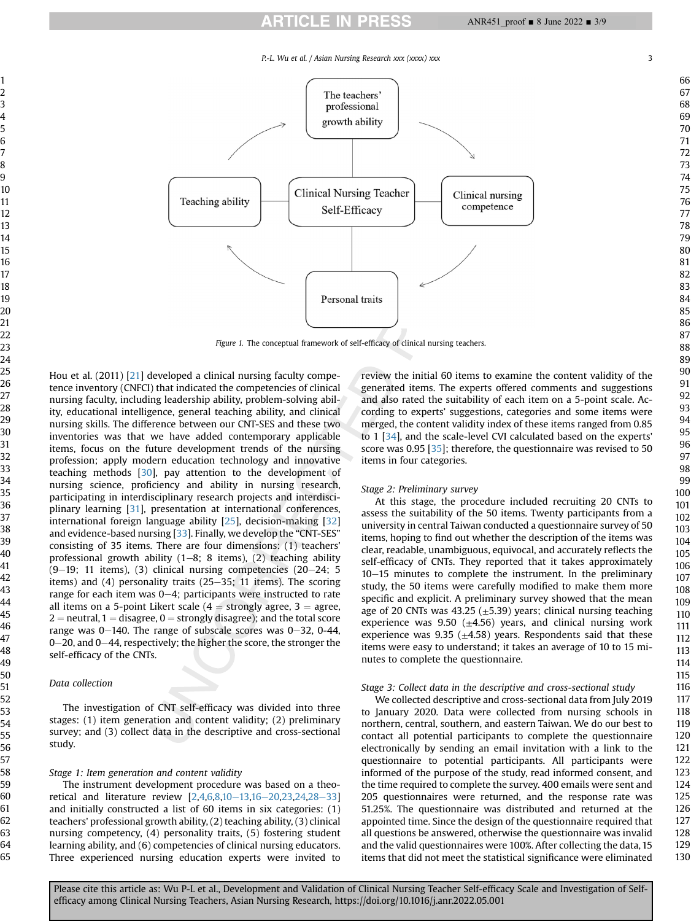# **ARTICLE IN PRESS**



<span id="page-2-0"></span>

Figure 1. The conceptual framework of self-efficacy of clinical nursing teachers.

Hou et al. (2011) [[21](#page-7-20)] developed a clinical nursing faculty competence inventory (CNFCI) that indicated the competencies of clinical nursing faculty, including leadership ability, problem-solving ability, educational intelligence, general teaching ability, and clinical nursing skills. The difference between our CNT-SES and these two inventories was that we have added contemporary applicable items, focus on the future development trends of the nursing profession; apply modern education technology and innovative teaching methods [[30](#page-7-29)], pay attention to the development of nursing science, proficiency and ability in nursing research, participating in interdisciplinary research projects and interdisciplinary learning [[31\]](#page-7-30), presentation at international conferences, international foreign language ability [[25](#page-7-24)], decision-making [\[32\]](#page-8-0) and evidence-based nursing [\[33\]](#page-8-1). Finally, we develop the "CNT-SES" consisting of 35 items. There are four dimensions: (1) teachers' professional growth ability  $(1-8; 8$  items),  $(2)$  teaching ability  $(9-19; 11$  items),  $(3)$  clinical nursing competencies  $(20-24; 5)$ items) and  $(4)$  personality traits  $(25-35; 11$  items). The scoring range for each item was  $0-4$ ; participants were instructed to rate all items on a 5-point Likert scale  $(4 =$  strongly agree,  $3 =$  agree, = neutral, 1 = disagree, 0 = strongly disagree); and the total score range was  $0-140$ . The range of subscale scores was  $0-32$ ,  $0-44$ ,  $0-20$ , and  $0-44$ , respectively; the higher the score, the stronger the self-efficacy of the CNTs.

# Data collection

The investigation of CNT self-efficacy was divided into three stages: (1) item generation and content validity; (2) preliminary survey; and (3) collect data in the descriptive and cross-sectional study.

#### Stage 1: Item generation and content validity

The instrument development procedure was based on a theoretical and literature review  $[2,4,6,8,10-13,16-20,23,24,28-33]$  $[2,4,6,8,10-13,16-20,23,24,28-33]$  $[2,4,6,8,10-13,16-20,23,24,28-33]$  $[2,4,6,8,10-13,16-20,23,24,28-33]$  $[2,4,6,8,10-13,16-20,23,24,28-33]$  $[2,4,6,8,10-13,16-20,23,24,28-33]$  $[2,4,6,8,10-13,16-20,23,24,28-33]$  $[2,4,6,8,10-13,16-20,23,24,28-33]$  $[2,4,6,8,10-13,16-20,23,24,28-33]$  $[2,4,6,8,10-13,16-20,23,24,28-33]$  $[2,4,6,8,10-13,16-20,23,24,28-33]$  $[2,4,6,8,10-13,16-20,23,24,28-33]$  $[2,4,6,8,10-13,16-20,23,24,28-33]$  $[2,4,6,8,10-13,16-20,23,24,28-33]$  $[2,4,6,8,10-13,16-20,23,24,28-33]$  $[2,4,6,8,10-13,16-20,23,24,28-33]$  $[2,4,6,8,10-13,16-20,23,24,28-33]$ and initially constructed a list of 60 items in six categories: (1) teachers' professional growth ability, (2) teaching ability, (3) clinical nursing competency, (4) personality traits, (5) fostering student learning ability, and (6) competencies of clinical nursing educators. Three experienced nursing education experts were invited to review the initial 60 items to examine the content validity of the generated items. The experts offered comments and suggestions and also rated the suitability of each item on a 5-point scale. According to experts' suggestions, categories and some items were merged, the content validity index of these items ranged from 0.85 to 1 [\[34\]](#page-8-2), and the scale-level CVI calculated based on the experts' score was 0.95 [[35](#page-8-3)]; therefore, the questionnaire was revised to 50 items in four categories.

#### Stage 2: Preliminary survey

At this stage, the procedure included recruiting 20 CNTs to assess the suitability of the 50 items. Twenty participants from a university in central Taiwan conducted a questionnaire survey of 50 items, hoping to find out whether the description of the items was clear, readable, unambiguous, equivocal, and accurately reflects the self-efficacy of CNTs. They reported that it takes approximately  $10-15$  minutes to complete the instrument. In the preliminary study, the 50 items were carefully modified to make them more specific and explicit. A preliminary survey showed that the mean age of 20 CNTs was 43.25 ( $\pm$ 5.39) years; clinical nursing teaching experience was 9.50 ( $\pm$ 4.56) years, and clinical nursing work experience was 9.35 ( $\pm$ 4.58) years. Respondents said that these items were easy to understand; it takes an average of 10 to 15 minutes to complete the questionnaire.

#### Stage 3: Collect data in the descriptive and cross-sectional study

We collected descriptive and cross-sectional data from July 2019 to January 2020. Data were collected from nursing schools in northern, central, southern, and eastern Taiwan. We do our best to contact all potential participants to complete the questionnaire electronically by sending an email invitation with a link to the questionnaire to potential participants. All participants were informed of the purpose of the study, read informed consent, and the time required to complete the survey. 400 emails were sent and 205 questionnaires were returned, and the response rate was 51.25%. The questionnaire was distributed and returned at the appointed time. Since the design of the questionnaire required that all questions be answered, otherwise the questionnaire was invalid and the valid questionnaires were 100%. After collecting the data, 15 items that did not meet the statistical significance were eliminated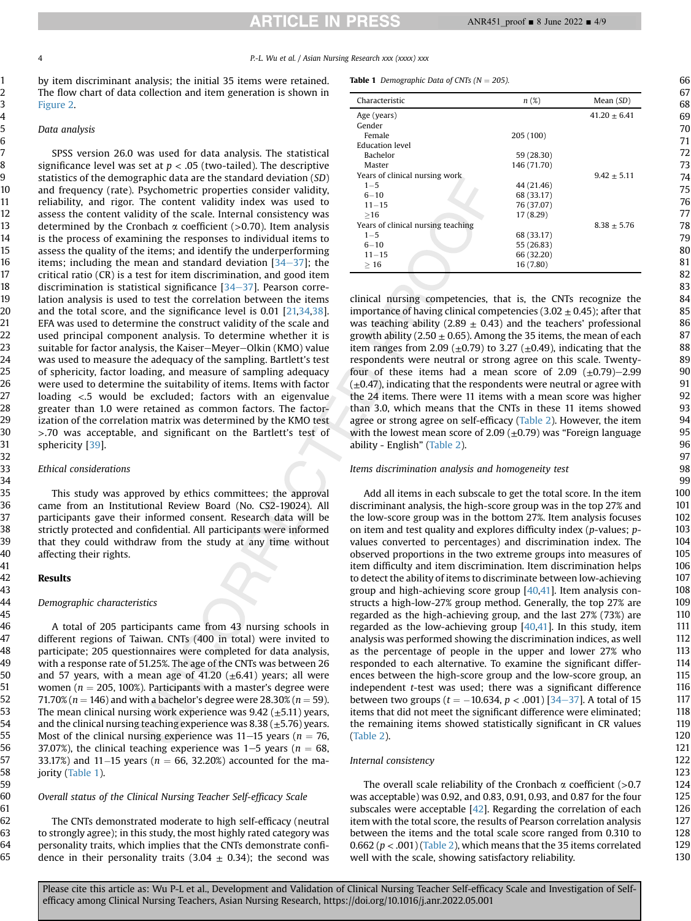4 P.-L. Wu et al. / Asian Nursing Research xxx (xxxx) xxx

by item discriminant analysis; the initial 35 items were retained. The flow chart of data collection and item generation is shown in Figure 2.

## Data analysis

SPSS version 26.0 was used for data analysis. The statistical significance level was set at  $p < .05$  (two-tailed). The descriptive statistics of the demographic data are the standard deviation (SD) and frequency (rate). Psychometric properties consider validity, reliability, and rigor. The content validity index was used to assess the content validity of the scale. Internal consistency was determined by the Cronbach  $\alpha$  coefficient (>0.70). Item analysis is the process of examining the responses to individual items to assess the quality of the items; and identify the underperforming items; including the mean and standard deviation  $[34-37]$  $[34-37]$  $[34-37]$  $[34-37]$  $[34-37]$ ; the critical ratio (CR) is a test for item discrimination, and good item discrimination is statistical significance  $[34-37]$  $[34-37]$  $[34-37]$ . Pearson correlation analysis is used to test the correlation between the items and the total score, and the significance level is 0.01 [[21,](#page-7-20)[34](#page-8-2)[,38\]](#page-8-4). EFA was used to determine the construct validity of the scale and used principal component analysis. To determine whether it is suitable for factor analysis, the Kaiser–Meyer–Olkin (KMO) value was used to measure the adequacy of the sampling. Bartlett's test of sphericity, factor loading, and measure of sampling adequacy were used to determine the suitability of items. Items with factor loading <.5 would be excluded; factors with an eigenvalue greater than 1.0 were retained as common factors. The factorization of the correlation matrix was determined by the KMO test >.70 was acceptable, and significant on the Bartlett's test of sphericity [[39\]](#page-8-5).

# Ethical considerations

This study was approved by ethics committees; the approval came from an Institutional Review Board (No. CS2-19024). All participants gave their informed consent. Research data will be strictly protected and confidential. All participants were informed that they could withdraw from the study at any time without affecting their rights.

#### Results

#### Demographic characteristics

A total of 205 participants came from 43 nursing schools in different regions of Taiwan. CNTs (400 in total) were invited to participate; 205 questionnaires were completed for data analysis, with a response rate of 51.25%. The age of the CNTs was between 26 and 57 years, with a mean age of 41.20  $(\pm 6.41)$  years; all were women ( $n = 205$ , 100%). Participants with a master's degree were 71.70% ( $n = 146$ ) and with a bachelor's degree were 28.30% ( $n = 59$ ). The mean clinical nursing work experience was  $9.42 \ (\pm 5.11)$  years, and the clinical nursing teaching experience was  $8.38 \left( \pm 5.76 \right)$  years. Most of the clinical nursing experience was  $11-15$  years ( $n = 76$ , 37.07%), the clinical teaching experience was  $1-5$  years ( $n = 68$ , 33.17%) and 11 $-15$  years ( $n = 66, 32.20%$ ) accounted for the majority ([Table 1\)](#page-3-0).

## Overall status of the Clinical Nursing Teacher Self-efficacy Scale

The CNTs demonstrated moderate to high self-efficacy (neutral to strongly agree); in this study, the most highly rated category was personality traits, which implies that the CNTs demonstrate confidence in their personality traits (3.04  $\pm$  0.34); the second was

<span id="page-3-0"></span>**Table 1** Demographic Data of CNTs ( $N = 205$ ).

| Characteristic                     | $n(\%)$     | Mean $(SD)$      |
|------------------------------------|-------------|------------------|
| Age (years)                        |             | $41.20 \pm 6.41$ |
| Gender                             |             |                  |
| Female                             | 205 (100)   |                  |
| Education level                    |             |                  |
| Bachelor                           | 59 (28.30)  |                  |
| Master                             | 146 (71.70) |                  |
| Years of clinical nursing work     |             | $9.42 + 5.11$    |
| $1 - 5$                            | 44 (21.46)  |                  |
| $6 - 10$                           | 68 (33.17)  |                  |
| $11 - 15$                          | 76 (37.07)  |                  |
| >16                                | 17 (8.29)   |                  |
| Years of clinical nursing teaching |             | $8.38 + 5.76$    |
| $1 - 5$                            | 68 (33.17)  |                  |
| $6 - 10$                           | 55 (26.83)  |                  |
| $11 - 15$                          | 66 (32.20)  |                  |
| >16                                | 16(7.80)    |                  |

clinical nursing competencies, that is, the CNTs recognize the importance of having clinical competencies (3.02  $\pm$  0.45); after that was teaching ability (2.89  $\pm$  0.43) and the teachers' professional growth ability (2.50  $\pm$  0.65). Among the 35 items, the mean of each item ranges from 2.09 ( $\pm$ 0.79) to 3.27 ( $\pm$ 0.49), indicating that the respondents were neutral or strong agree on this scale. Twentyfour of these items had a mean score of  $2.09$  ( $\pm$ 0.79)–2.99  $(\pm 0.47)$ , indicating that the respondents were neutral or agree with the 24 items. There were 11 items with a mean score was higher than 3.0, which means that the CNTs in these 11 items showed agree or strong agree on self-efficacy [\(Table 2](#page-4-0)). However, the item with the lowest mean score of 2.09  $(\pm 0.79)$  was "Foreign language ability - English" [\(Table 2](#page-4-0)).

#### Items discrimination analysis and homogeneity test

Add all items in each subscale to get the total score. In the item discriminant analysis, the high-score group was in the top 27% and the low-score group was in the bottom 27%. Item analysis focuses on item and test quality and explores difficulty index (p-values; pvalues converted to percentages) and discrimination index. The observed proportions in the two extreme groups into measures of item difficulty and item discrimination. Item discrimination helps to detect the ability of items to discriminate between low-achieving group and high-achieving score group [[40](#page-8-6),[41\]](#page-8-7). Item analysis constructs a high-low-27% group method. Generally, the top 27% are regarded as the high-achieving group, and the last 27% (73%) are regarded as the low-achieving group  $[40,41]$  $[40,41]$ . In this study, item analysis was performed showing the discrimination indices, as well as the percentage of people in the upper and lower 27% who responded to each alternative. To examine the significant differences between the high-score group and the low-score group, an independent  $t$ -test was used; there was a significant difference between two groups ( $t = -10.634$  $t = -10.634$ ,  $p < .001$ ) [34–[37\]](#page-8-2). A total of 15 items that did not meet the significant difference were eliminated; the remaining items showed statistically significant in CR values ([Table 2\)](#page-4-0).

#### Internal consistency

The overall scale reliability of the Cronbach  $\alpha$  coefficient (>0.7 was acceptable) was 0.92, and 0.83, 0.91, 0.93, and 0.87 for the four subscales were acceptable  $[42]$  $[42]$  $[42]$ . Regarding the correlation of each item with the total score, the results of Pearson correlation analysis between the items and the total scale score ranged from 0.310 to 0.662 ( $p < .001$ ) [\(Table 2](#page-4-0)), which means that the 35 items correlated well with the scale, showing satisfactory reliability.

129 130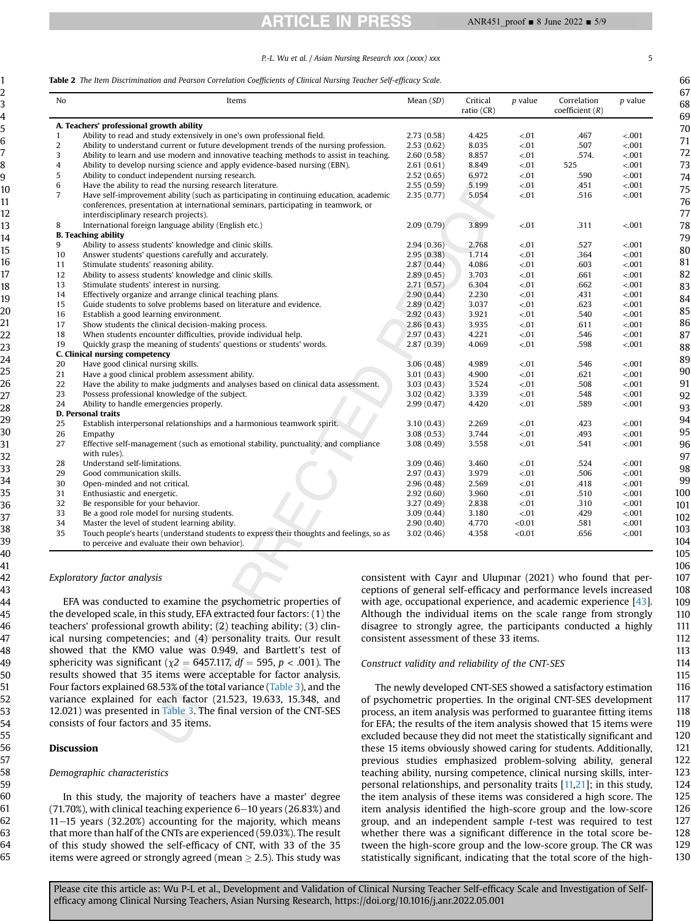# **ARTICLE IN PRESS**

### P.-L. Wu et al. / Asian Nursing Research xxx (xxxx) xxx 5

#### <span id="page-4-0"></span>Table 2 The Item Discrimination and Pearson Correlation Coefficients of Clinical Nursing Teacher Self-efficacy Scale.

| <b>No</b>      | Items                                                                                                                                                                                                                 | Mean $(SD)$ | Critical<br>ratio $(CR)$ | $p$ value | Correlation<br>coefficient $(R)$ | $p$ value        |
|----------------|-----------------------------------------------------------------------------------------------------------------------------------------------------------------------------------------------------------------------|-------------|--------------------------|-----------|----------------------------------|------------------|
|                | A. Teachers' professional growth ability                                                                                                                                                                              |             |                          |           |                                  |                  |
| 1              | Ability to read and study extensively in one's own professional field.                                                                                                                                                | 2.73(0.58)  | 4.425                    | < .01     | .467                             | < .001           |
| $\overline{c}$ | Ability to understand current or future development trends of the nursing profession.                                                                                                                                 | 2.53(0.62)  | 8.035                    | $-.01$    | .507                             | < .001           |
| 3              | Ability to learn and use modern and innovative teaching methods to assist in teaching.                                                                                                                                | 2.60(0.58)  | 8.857                    | < .01     | .574.                            | < .001           |
| 4              | Ability to develop nursing science and apply evidence-based nursing (EBN).                                                                                                                                            | 2.61(0.61)  | 8.849                    | < 01      | 525                              | < .001           |
| 5              | Ability to conduct independent nursing research.                                                                                                                                                                      | 2.52(0.65)  | 6.972                    | $-.01$    | .590                             | < .001           |
| 6              | Have the ability to read the nursing research literature.                                                                                                                                                             | 2.55(0.59)  | 5.199                    | < .01     | .451                             | < .001           |
| $\overline{7}$ | Have self-improvement ability (such as participating in continuing education, academic<br>conferences, presentation at international seminars, participating in teamwork, or<br>interdisciplinary research projects). | 2.35(0.77)  | 5.054                    | < 01      | .516                             | < .001           |
| 8              | International foreign language ability (English etc.)                                                                                                                                                                 | 2.09(0.79)  | 3.899                    | $-.01$    | .311                             | < .001           |
|                | <b>B.</b> Teaching ability                                                                                                                                                                                            |             |                          |           |                                  |                  |
| 9              | Ability to assess students' knowledge and clinic skills.                                                                                                                                                              | 2.94(0.36)  | 2.768                    | $-.01$    | .527                             | < .001           |
| 10             | Answer students' questions carefully and accurately.                                                                                                                                                                  | 2.95(0.38)  | 1.714                    | $-.01$    | .364                             | < .001           |
| 11             | Stimulate students' reasoning ability.                                                                                                                                                                                | 2.87(0.44)  | 4.086                    | < 01      | .603                             | < .001           |
| 12             | Ability to assess students' knowledge and clinic skills.                                                                                                                                                              | 2.89(0.45)  | 3.703                    | $-.01$    | .661                             | < .001           |
| 13             | Stimulate students' interest in nursing.                                                                                                                                                                              | 2.71(0.57)  | 6.304                    | $-.01$    | .662                             | < .001           |
| 14             | Effectively organize and arrange clinical teaching plans.                                                                                                                                                             | 2.90(0.44)  | 2.230                    | $-.01$    | .431                             | < .001           |
|                | Guide students to solve problems based on literature and evidence.                                                                                                                                                    |             | 3.037                    | < 01      | .623                             | < .001           |
| 15             |                                                                                                                                                                                                                       | 2.89(0.42)  |                          |           |                                  |                  |
| 16             | Establish a good learning environment.                                                                                                                                                                                | 2.92(0.43)  | 3.921<br>3.935           | < 01      | .540                             | < .001<br>< .001 |
| 17             | Show students the clinical decision-making process.                                                                                                                                                                   | 2.86(0.43)  |                          | < 01      | .611                             |                  |
| 18             | When students encounter difficulties, provide individual help.                                                                                                                                                        | 2.97(0.43)  | 4.221                    | < 01      | .546                             | < .001           |
| 19             | Quickly grasp the meaning of students' questions or students' words.                                                                                                                                                  | 2.87(0.39)  | 4.069                    | $-.01$    | .598                             | < .001           |
|                | C. Clinical nursing competency                                                                                                                                                                                        |             |                          |           |                                  |                  |
| 20             | Have good clinical nursing skills.                                                                                                                                                                                    | 3.06(0.48)  | 4.989                    | < .01     | .546                             | < .001           |
| 21             | Have a good clinical problem assessment ability.                                                                                                                                                                      | 3.01(0.43)  | 4.900                    | $-.01$    | .621                             | < .001           |
| 22             | Have the ability to make judgments and analyses based on clinical data assessment.                                                                                                                                    | 3.03(0.43)  | 3.524                    | < 01      | .508                             | $-.001$          |
| 23             | Possess professional knowledge of the subject.                                                                                                                                                                        | 3.02(0.42)  | 3.339                    | < 01      | .548                             | < .001           |
| 24             | Ability to handle emergencies properly.                                                                                                                                                                               | 2.99(0.47)  | 4.420                    | $-.01$    | .589                             | < .001           |
|                | D. Personal traits                                                                                                                                                                                                    |             |                          |           |                                  |                  |
| 25             | Establish interpersonal relationships and a harmonious teamwork spirit.                                                                                                                                               | 3.10(0.43)  | 2.269                    | < .01     | .423                             | < .001           |
| 26             | Empathy                                                                                                                                                                                                               | 3.08(0.53)  | 3.744                    | < 01      | .493                             | < .001           |
| 27             | Effective self-management (such as emotional stability, punctuality, and compliance<br>with rules).                                                                                                                   | 3.08(0.49)  | 3.558                    | $-.01$    | .541                             | < .001           |
| 28             | Understand self-limitations.                                                                                                                                                                                          | 3.09(0.46)  | 3.460                    | < .01     | .524                             | < .001           |
| 29             | Good communication skills.                                                                                                                                                                                            | 2.97(0.43)  | 3.979                    | $-.01$    | .506                             | < .001           |
| 30             | Open-minded and not critical.                                                                                                                                                                                         | 2.96(0.48)  | 2.569                    | $-.01$    | .418                             | $-.001$          |
| 31             | Enthusiastic and energetic.                                                                                                                                                                                           | 2.92(0.60)  | 3.960                    | < .01     | .510                             | < .001           |
| 32             | Be responsible for your behavior.                                                                                                                                                                                     | 3.27(0.49)  | 2.838                    | $-.01$    | .310                             | < .001           |
| 33             | Be a good role model for nursing students.                                                                                                                                                                            | 3.09(0.44)  | 3.180                    | < 01      | .429                             | < .001           |
| 34             | Master the level of student learning ability.                                                                                                                                                                         | 2.90(0.40)  | 4.770                    | < 0.01    | .581                             | < .001           |
| 35             | Touch people's hearts (understand students to express their thoughts and feelings, so as<br>to perceive and evaluate their own behavior).                                                                             | 3.02(0.46)  | 4.358                    | < 0.01    | .656                             | < .001           |

Exploratory factor analysis

EFA was conducted to examine the psychometric properties of the developed scale, in this study, EFA extracted four factors: (1) the teachers' professional growth ability; (2) teaching ability; (3) clinical nursing competencies; and (4) personality traits. Our result showed that the KMO value was 0.949, and Bartlett's test of sphericity was significant ( $\chi$ 2 = 6457.117, df = 595, p < .001). The results showed that 35 items were acceptable for factor analysis. Four factors explained 68.53% of the total variance ([Table 3\)](#page-5-0), and the variance explained for each factor (21.523, 19.633, 15.348, and 12.021) was presented in [Table 3.](#page-5-0) The final version of the CNT-SES consists of four factors and 35 items.

#### Discussion

#### Demographic characteristics

In this study, the majority of teachers have a master' degree  $(71.70\%)$ , with clinical teaching experience  $6-10$  years (26.83%) and  $11-15$  years (32.20%) accounting for the majority, which means that more than half of the CNTs are experienced (59.03%). The result of this study showed the self-efficacy of CNT, with 33 of the 35 items were agreed or strongly agreed (mean  $\geq$  2.5). This study was consistent with Cayır and Ulupınar (2021) who found that perceptions of general self-efficacy and performance levels increased with age, occupational experience, and academic experience [\[43\]](#page-8-9). Although the individual items on the scale range from strongly disagree to strongly agree, the participants conducted a highly consistent assessment of these 33 items.

## Construct validity and reliability of the CNT-SES

The newly developed CNT-SES showed a satisfactory estimation of psychometric properties. In the original CNT-SES development process, an item analysis was performed to guarantee fitting items for EFA; the results of the item analysis showed that 15 items were excluded because they did not meet the statistically significant and these 15 items obviously showed caring for students. Additionally, previous studies emphasized problem-solving ability, general teaching ability, nursing competence, clinical nursing skills, interpersonal relationships, and personality traits [\[11,](#page-7-10)[21](#page-7-20)]; in this study, the item analysis of these items was considered a high score. The item analysis identified the high-score group and the low-score group, and an independent sample t-test was required to test whether there was a significant difference in the total score between the high-score group and the low-score group. The CR was statistically significant, indicating that the total score of the high-

64 65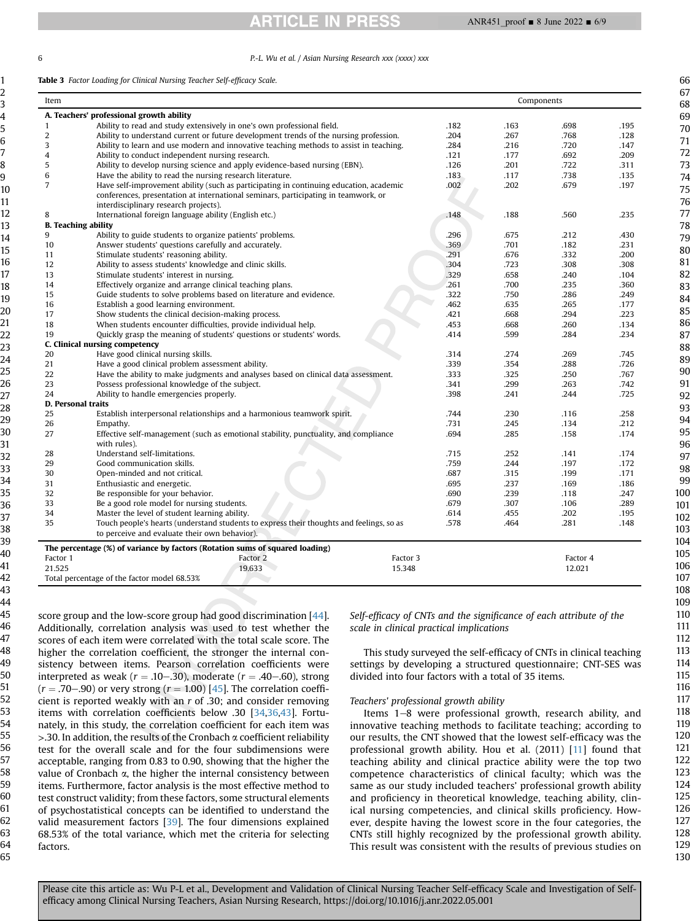### 6 P.-L. Wu et al. / Asian Nursing Research xxx (xxxx) xxx

<span id="page-5-0"></span>Table 3 Factor Loading for Clinical Nursing Teacher Self-efficacy Scale.

| Item                      |                                                                                          |      | Components |          |      |  |  |
|---------------------------|------------------------------------------------------------------------------------------|------|------------|----------|------|--|--|
|                           | A. Teachers' professional growth ability                                                 |      |            |          |      |  |  |
| $\mathbf{1}$              | Ability to read and study extensively in one's own professional field.                   | .182 | .163       | .698     | .195 |  |  |
| 2                         | Ability to understand current or future development trends of the nursing profession.    | .204 | .267       | .768     | .128 |  |  |
| 3                         | Ability to learn and use modern and innovative teaching methods to assist in teaching.   | .284 | .216       | .720     | .147 |  |  |
| 4                         | Ability to conduct independent nursing research.                                         | .121 | .177       | .692     | .209 |  |  |
| 5                         | Ability to develop nursing science and apply evidence-based nursing (EBN).               | .126 | .201       | .722     | .311 |  |  |
| 6                         | Have the ability to read the nursing research literature.                                | .183 | .117       | .738     | .135 |  |  |
| 7                         | Have self-improvement ability (such as participating in continuing education, academic   | .002 | .202       | .679     | .197 |  |  |
|                           | conferences, presentation at international seminars, participating in teamwork, or       |      |            |          |      |  |  |
|                           | interdisciplinary research projects).                                                    |      |            |          |      |  |  |
| 8                         | International foreign language ability (English etc.)                                    | .148 | .188       | .560     | .235 |  |  |
|                           | <b>B.</b> Teaching ability                                                               |      |            |          |      |  |  |
| 9                         | Ability to guide students to organize patients' problems.                                | .296 | .675       | .212     | .430 |  |  |
| 10                        | Answer students' questions carefully and accurately.                                     | .369 | .701       | .182     | .231 |  |  |
| 11                        | Stimulate students' reasoning ability.                                                   | .291 | .676       | .332     | .200 |  |  |
| 12                        | Ability to assess students' knowledge and clinic skills.                                 | .304 | .723       | .308     | .308 |  |  |
| 13                        | Stimulate students' interest in nursing.                                                 | .329 | .658       | .240     | .104 |  |  |
| 14                        | Effectively organize and arrange clinical teaching plans.                                | .261 | .700       | .235     | .360 |  |  |
| 15                        | Guide students to solve problems based on literature and evidence.                       | .322 | .750       | .286     | .249 |  |  |
| 16                        | Establish a good learning environment.                                                   | .462 | .635       | .265     | .177 |  |  |
| 17                        | Show students the clinical decision-making process.                                      | .421 | .668       | .294     | .223 |  |  |
| 18                        | When students encounter difficulties, provide individual help.                           | .453 | .668       | .260     | .134 |  |  |
| 19                        | Quickly grasp the meaning of students' questions or students' words.                     | .414 | .599       | .284     | .234 |  |  |
|                           | C. Clinical nursing competency                                                           |      |            |          |      |  |  |
| 20                        | Have good clinical nursing skills.                                                       | .314 | .274       | .269     | .745 |  |  |
| 21                        | Have a good clinical problem assessment ability.                                         | .339 | .354       | .288     | .726 |  |  |
| 22                        | Have the ability to make judgments and analyses based on clinical data assessment.       | .333 | .325       | .250     | .767 |  |  |
| 23                        | Possess professional knowledge of the subject.                                           | .341 | .299       | .263     | .742 |  |  |
| 24                        | Ability to handle emergencies properly.                                                  | .398 | .241       | .244     | .725 |  |  |
| <b>D. Personal traits</b> |                                                                                          |      |            |          |      |  |  |
| 25                        | Establish interpersonal relationships and a harmonious teamwork spirit.                  | .744 | .230       | .116     | .258 |  |  |
| 26                        | Empathy.                                                                                 | .731 | .245       | .134     | .212 |  |  |
| 27                        | Effective self-management (such as emotional stability, punctuality, and compliance      | .694 | .285       | .158     | .174 |  |  |
|                           | with rules).                                                                             |      |            |          |      |  |  |
| 28                        | Understand self-limitations.                                                             | .715 | .252       | .141     | .174 |  |  |
| 29                        | Good communication skills.                                                               | .759 | .244       | .197     | .172 |  |  |
| 30                        | Open-minded and not critical.                                                            | .687 | .315       | .199     | .171 |  |  |
| 31                        | Enthusiastic and energetic.                                                              | .695 | .237       | .169     | .186 |  |  |
| 32                        | Be responsible for your behavior.                                                        | .690 | .239       | .118     | .247 |  |  |
| 33                        | Be a good role model for nursing students.                                               | .679 | .307       | .106     | .289 |  |  |
| 34                        | Master the level of student learning ability.                                            | .614 | .455       | .202     | .195 |  |  |
| 35                        | Touch people's hearts (understand students to express their thoughts and feelings, so as | .578 | .464       | .281     | .148 |  |  |
|                           | to perceive and evaluate their own behavior).                                            |      |            |          |      |  |  |
|                           | The percentage (%) of variance by factors (Rotation sums of squared loading)             |      |            |          |      |  |  |
| Factor 1                  | Factor 2<br>Factor 3                                                                     |      |            | Factor 4 |      |  |  |
| 21.525                    | 19.633<br>15.348                                                                         |      |            | 12.021   |      |  |  |
|                           | Total percentage of the factor model 68.53%                                              |      |            |          |      |  |  |

score group and the low-score group had good discrimination [\[44](#page-8-10)]. Additionally, correlation analysis was used to test whether the scores of each item were correlated with the total scale score. The higher the correlation coefficient, the stronger the internal consistency between items. Pearson correlation coefficients were interpreted as weak ( $r = .10-.30$ ), moderate ( $r = .40-.60$ ), strong  $(r = .70-.90)$  or very strong  $(r = 1.00)$  [[45](#page-8-11)]. The correlation coefficient is reported weakly with an r of .30; and consider removing items with correlation coefficients below .30 [[34](#page-8-2)[,36,](#page-8-12)[43](#page-8-9)]. Fortunately, in this study, the correlation coefficient for each item was  $>$ .30. In addition, the results of the Cronbach  $\alpha$  coefficient reliability test for the overall scale and for the four subdimensions were acceptable, ranging from 0.83 to 0.90, showing that the higher the value of Cronbach  $\alpha$ , the higher the internal consistency between items. Furthermore, factor analysis is the most effective method to test construct validity; from these factors, some structural elements of psychostatistical concepts can be identified to understand the valid measurement factors [[39](#page-8-5)]. The four dimensions explained 68.53% of the total variance, which met the criteria for selecting factors.

Self-efficacy of CNTs and the significance of each attribute of the scale in clinical practical implications

This study surveyed the self-efficacy of CNTs in clinical teaching settings by developing a structured questionnaire; CNT-SES was divided into four factors with a total of 35 items.

# Teachers' professional growth ability

Items 1-8 were professional growth, research ability, and innovative teaching methods to facilitate teaching; according to our results, the CNT showed that the lowest self-efficacy was the professional growth ability. Hou et al. (2011) [[11\]](#page-7-10) found that teaching ability and clinical practice ability were the top two competence characteristics of clinical faculty; which was the same as our study included teachers' professional growth ability and proficiency in theoretical knowledge, teaching ability, clinical nursing competencies, and clinical skills proficiency. However, despite having the lowest score in the four categories, the CNTs still highly recognized by the professional growth ability. This result was consistent with the results of previous studies on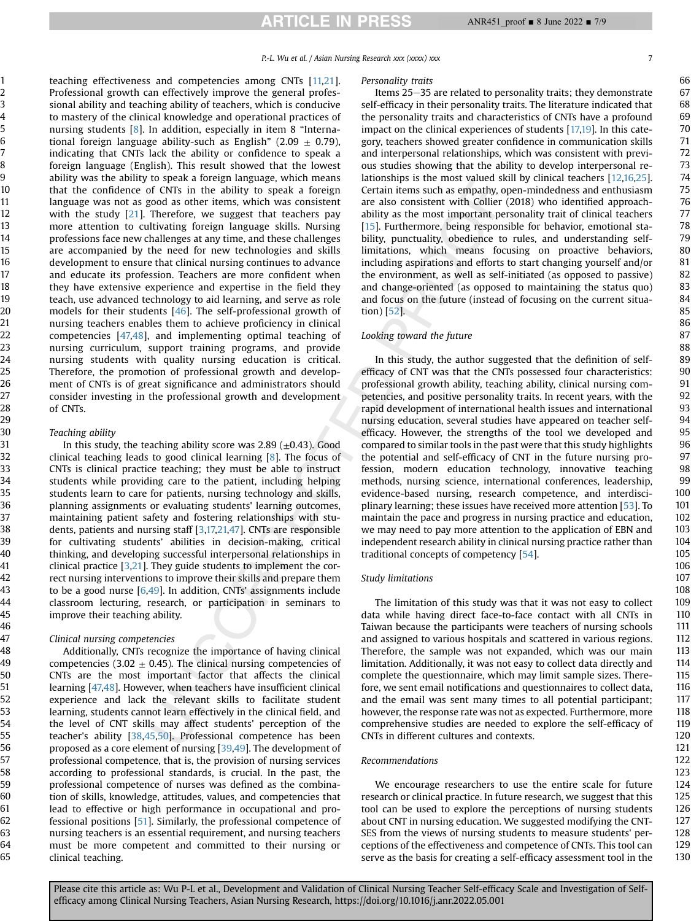P.-L. Wu et al. / Asian Nursing Research xxx (xxxx) xxx 7

teaching effectiveness and competencies among CNTs [\[11,](#page-7-10)[21\]](#page-7-20). Professional growth can effectively improve the general professional ability and teaching ability of teachers, which is conducive to mastery of the clinical knowledge and operational practices of nursing students [[8\]](#page-7-7). In addition, especially in item 8 "International foreign language ability-such as English" (2.09  $\pm$  0.79), indicating that CNTs lack the ability or confidence to speak a foreign language (English). This result showed that the lowest ability was the ability to speak a foreign language, which means that the confidence of CNTs in the ability to speak a foreign language was not as good as other items, which was consistent with the study  $[21]$  $[21]$  $[21]$ . Therefore, we suggest that teachers pay more attention to cultivating foreign language skills. Nursing professions face new challenges at any time, and these challenges are accompanied by the need for new technologies and skills development to ensure that clinical nursing continues to advance and educate its profession. Teachers are more confident when they have extensive experience and expertise in the field they teach, use advanced technology to aid learning, and serve as role models for their students [[46\]](#page-8-13). The self-professional growth of nursing teachers enables them to achieve proficiency in clinical competencies [[47,](#page-8-14)[48\]](#page-8-15), and implementing optimal teaching of nursing curriculum, support training programs, and provide nursing students with quality nursing education is critical. Therefore, the promotion of professional growth and development of CNTs is of great significance and administrators should consider investing in the professional growth and development of CNTs.

#### Teaching ability

In this study, the teaching ability score was  $2.89 \ (\pm 0.43)$ . Good clinical teaching leads to good clinical learning [\[8](#page-7-7)]. The focus of CNTs is clinical practice teaching; they must be able to instruct students while providing care to the patient, including helping students learn to care for patients, nursing technology and skills, planning assignments or evaluating students' learning outcomes, maintaining patient safety and fostering relationships with students, patients and nursing staff [\[3](#page-7-2),[17,](#page-7-16)[21,](#page-7-20)[47\]](#page-8-14). CNTs are responsible for cultivating students' abilities in decision-making, critical thinking, and developing successful interpersonal relationships in clinical practice [\[3,](#page-7-2)[21\]](#page-7-20). They guide students to implement the correct nursing interventions to improve their skills and prepare them to be a good nurse [\[6,](#page-7-5)[49](#page-8-16)]. In addition, CNTs' assignments include classroom lecturing, research, or participation in seminars to improve their teaching ability.

#### Clinical nursing competencies

Additionally, CNTs recognize the importance of having clinical competencies (3.02  $\pm$  0.45). The clinical nursing competencies of CNTs are the most important factor that affects the clinical learning [\[47,](#page-8-14)[48\]](#page-8-15). However, when teachers have insufficient clinical experience and lack the relevant skills to facilitate student learning, students cannot learn effectively in the clinical field, and the level of CNT skills may affect students' perception of the teacher's ability [\[38](#page-8-4)[,45](#page-8-11),[50](#page-8-17)]. Professional competence has been proposed as a core element of nursing [[39](#page-8-5),[49\]](#page-8-16). The development of professional competence, that is, the provision of nursing services according to professional standards, is crucial. In the past, the professional competence of nurses was defined as the combination of skills, knowledge, attitudes, values, and competencies that lead to effective or high performance in occupational and professional positions [[51\]](#page-8-18). Similarly, the professional competence of nursing teachers is an essential requirement, and nursing teachers must be more competent and committed to their nursing or clinical teaching.

#### Personality traits

Items 25-35 are related to personality traits; they demonstrate self-efficacy in their personality traits. The literature indicated that the personality traits and characteristics of CNTs have a profound impact on the clinical experiences of students [[17,](#page-7-16)[19\]](#page-7-18). In this category, teachers showed greater confidence in communication skills and interpersonal relationships, which was consistent with previous studies showing that the ability to develop interpersonal relationships is the most valued skill by clinical teachers [[12](#page-7-11),[16](#page-7-15)[,25\]](#page-7-24). Certain items such as empathy, open-mindedness and enthusiasm are also consistent with Collier (2018) who identified approachability as the most important personality trait of clinical teachers [\[15](#page-7-14)]. Furthermore, being responsible for behavior, emotional stability, punctuality, obedience to rules, and understanding selflimitations, which means focusing on proactive behaviors, including aspirations and efforts to start changing yourself and/or the environment, as well as self-initiated (as opposed to passive) and change-oriented (as opposed to maintaining the status quo) and focus on the future (instead of focusing on the current situation) [\[52\]](#page-8-19).

# Looking toward the future

In this study, the author suggested that the definition of selfefficacy of CNT was that the CNTs possessed four characteristics: professional growth ability, teaching ability, clinical nursing competencies, and positive personality traits. In recent years, with the rapid development of international health issues and international nursing education, several studies have appeared on teacher selfefficacy. However, the strengths of the tool we developed and compared to similar tools in the past were that this study highlights the potential and self-efficacy of CNT in the future nursing profession, modern education technology, innovative teaching methods, nursing science, international conferences, leadership, evidence-based nursing, research competence, and interdisciplinary learning; these issues have received more attention [[53\]](#page-8-20). To maintain the pace and progress in nursing practice and education, we may need to pay more attention to the application of EBN and independent research ability in clinical nursing practice rather than traditional concepts of competency [\[54\]](#page-8-21).

#### Study limitations

The limitation of this study was that it was not easy to collect data while having direct face-to-face contact with all CNTs in Taiwan because the participants were teachers of nursing schools and assigned to various hospitals and scattered in various regions. Therefore, the sample was not expanded, which was our main limitation. Additionally, it was not easy to collect data directly and complete the questionnaire, which may limit sample sizes. Therefore, we sent email notifications and questionnaires to collect data, and the email was sent many times to all potential participant; however, the response rate was not as expected. Furthermore, more comprehensive studies are needed to explore the self-efficacy of CNTs in different cultures and contexts.

#### Recommendations

We encourage researchers to use the entire scale for future research or clinical practice. In future research, we suggest that this tool can be used to explore the perceptions of nursing students about CNT in nursing education. We suggested modifying the CNT-SES from the views of nursing students to measure students' perceptions of the effectiveness and competence of CNTs. This tool can serve as the basis for creating a self-efficacy assessment tool in the

130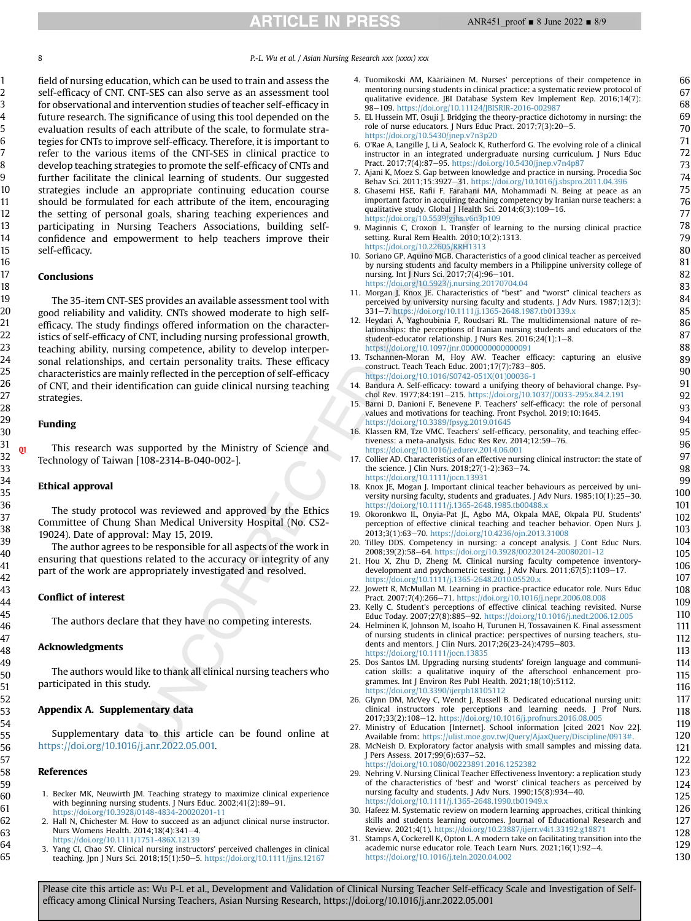8 **8** P.-L. Wu et al. / Asian Nursing Research xxx (xxxx) xxx

field of nursing education, which can be used to train and assess the self-efficacy of CNT. CNT-SES can also serve as an assessment tool for observational and intervention studies of teacher self-efficacy in future research. The significance of using this tool depended on the evaluation results of each attribute of the scale, to formulate strategies for CNTs to improve self-efficacy. Therefore, it is important to refer to the various items of the CNT-SES in clinical practice to develop teaching strategies to promote the self-efficacy of CNTs and further facilitate the clinical learning of students. Our suggested strategies include an appropriate continuing education course should be formulated for each attribute of the item, encouraging the setting of personal goals, sharing teaching experiences and participating in Nursing Teachers Associations, building selfconfidence and empowerment to help teachers improve their self-efficacy.

# Conclusions

The 35-item CNT-SES provides an available assessment tool with good reliability and validity. CNTs showed moderate to high selfefficacy. The study findings offered information on the characteristics of self-efficacy of CNT, including nursing professional growth, teaching ability, nursing competence, ability to develop interpersonal relationships, and certain personality traits. These efficacy characteristics are mainly reflected in the perception of self-efficacy of CNT, and their identification can guide clinical nursing teaching strategies.

## Funding

**01** This research was supported by the Ministry of Science and Technology of Taiwan [108-2314-B-040-002-].

#### Ethical approval

The study protocol was reviewed and approved by the Ethics Committee of Chung Shan Medical University Hospital (No. CS2- 19024). Date of approval: May 15, 2019.

The author agrees to be responsible for all aspects of the work in ensuring that questions related to the accuracy or integrity of any part of the work are appropriately investigated and resolved.

#### Conflict of interest

The authors declare that they have no competing interests.

# Acknowledgments

The authors would like to thank all clinical nursing teachers who participated in this study.

# Appendix A. Supplementary data

Supplementary data to this article can be found online at [https://doi.org/10.1016/j.anr.2022.05.001.](https://doi.org/10.1016/j.anr.2022.05.001)

#### <span id="page-7-0"></span>References

- 1. Becker MK, Neuwirth JM. Teaching strategy to maximize clinical experience with beginning nursing students. J Nurs Educ.  $2002;41(2):89-91$ . <https://doi.org/10.3928/0148-4834-20020201-11>
- <span id="page-7-1"></span>2. Hall N, Chichester M. How to succeed as an adjunct clinical nurse instructor. Nurs Womens Health. 2014;18(4):341-4.
- <span id="page-7-2"></span><https://doi.org/10.1111/1751-486X.12139> 3. Yang CI, Chao SY. Clinical nursing instructors' perceived challenges in clinical teaching. Jpn J Nurs Sci. 2018;15(1):50-5. <https://doi.org/10.1111/jjns.12167>
- <span id="page-7-3"></span>4. Tuomikoski AM, Kääriäinen M. Nurses' perceptions of their competence in mentoring nursing students in clinical practice: a systematic review protocol of qualitative evidence. JBI Database System Rev Implement Rep. 2016;14(7):<br>98—109. <https://doi.org/10.11124/JBISRIR-2016-002987>
- <span id="page-7-4"></span>5. EL Hussein MT, Osuji J. Bridging the theory-practice dichotomy in nursing: the role of nurse educators. J Nurs Educ Pract.  $2017;7(3):20-5$ . <https://doi.org/10.5430/jnep.v7n3p20>
- <span id="page-7-5"></span>6. O'Rae A, Langille J, Li A, Sealock K, Rutherford G. The evolving role of a clinical instructor in an integrated undergraduate nursing curriculum. J Nurs Educ Pract. 2017;7(4):87-95. <https://doi.org/10.5430/jnep.v7n4p87>
- <span id="page-7-6"></span>7. Ajani K, Moez S. Gap between knowledge and practice in nursing. Procedia Soc<br>Behav Sci. 2011;15:3927–31. <https://doi.org/10.1016/j.sbspro.2011.04.396>
- <span id="page-7-7"></span>8. Ghasemi HSE, Rafii F, Farahani MA, Mohammadi N. Being at peace as an important factor in acquiring teaching competency by Iranian nurse teachers: a<br>qualitative study. Global J Health Sci. 2014;6(3):109—16.
- <span id="page-7-8"></span><https://doi.org/10.5539/gjhs.v6n3p109> 9. Maginnis C, Croxon L. Transfer of learning to the nursing clinical practice setting. Rural Rem Health. 2010;10(2):1313. <https://doi.org/10.22605/RRH1313>
- <span id="page-7-9"></span>10. Soriano GP, Aquino MGB. Characteristics of a good clinical teacher as perceived by nursing students and faculty members in a Philippine university college of nursing. Int J Nurs Sci. 2017;7(4):96-101. <https://doi.org/10.5923/j.nursing.20170704.04>
- <span id="page-7-10"></span>11. Morgan J, Knox JE. Characteristics of "best" and "worst" clinical teachers as perceived by university nursing faculty and students. J Adv Nurs. 1987;12(3): 331e7. <https://doi.org/10.1111/j.1365-2648.1987.tb01339.x>
- <span id="page-7-11"></span>12. Heydari A, Yaghoubinia F, Roudsari RL. The multidimensional nature of relationships: the perceptions of Iranian nursing students and educators of the student-educator relationship. J Nurs Res. 2016;24(1):1-8. <https://doi.org/10.1097/jnr.0000000000000091>
- <span id="page-7-12"></span>13. Tschannen-Moran M, Hoy AW. Teacher efficacy: capturing an elusive construct. Teach Teach Educ. 2001;17(7):783-805. [https://doi.org/10.1016/S0742-051X\(01\)00036-1](https://doi.org/10.1016/S0742-051X(01)00036-1)
- <span id="page-7-13"></span>14. Bandura A. Self-efficacy: toward a unifying theory of behavioral change. Psychol Rev. 1977;84:191-215. <https://doi.org/10.1037//0033-295x.84.2.191>
- <span id="page-7-14"></span>15. Barni D, Danioni F, Benevene P. Teachers' self-efficacy: the role of personal values and motivations for teaching. Front Psychol. 2019;10:1645. <https://doi.org/10.3389/fpsyg.2019.01645>
- <span id="page-7-15"></span>16. Klassen RM, Tze VMC. Teachers' self-efficacy, personality, and teaching effectiveness: a meta-analysis. Educ Res Rev. 2014;12:59-76. <https://doi.org/10.1016/j.edurev.2014.06.001>
- <span id="page-7-16"></span>17. Collier AD. Characteristics of an effective nursing clinical instructor: the state of the science. J Clin Nurs. 2018;27(1-2):363-74. <https://doi.org/10.1111/jocn.13931>
- <span id="page-7-17"></span>18. Knox JE, Mogan J. Important clinical teacher behaviours as perceived by university nursing faculty, students and graduates. J Adv Nurs.  $1985;10(1):25-30$ . <https://doi.org/10.1111/j.1365-2648.1985.tb00488.x>
- <span id="page-7-18"></span>19. Okoronkwo IL, Onyia-Pat JL, Agbo MA, Okpala MAE, Okpala PU. Students' perception of effective clinical teaching and teacher behavior. Open Nurs J. 2013;3(1):63e70. <https://doi.org/10.4236/ojn.2013.31008>
- <span id="page-7-19"></span>20. Tilley DDS. Competency in nursing: a concept analysis. J Cont Educ Nurs. 2008;39(2):58-64. <https://doi.org/10.3928/00220124-20080201-12>
- <span id="page-7-20"></span>21. Hou X, Zhu D, Zheng M. Clinical nursing faculty competence inventorydevelopment and psychometric testing. J Adv Nurs. 2011;67(5):1109-17. <https://doi.org/10.1111/j.1365-2648.2010.05520.x>
- <span id="page-7-21"></span>22. Jowett R, McMullan M. Learning in practice-practice educator role. Nurs Educ Pract. 2007;7(4):266-71. <https://doi.org/10.1016/j.nepr.2006.08.008>
- <span id="page-7-22"></span>23. Kelly C. Student's perceptions of effective clinical teaching revisited. Nurse Educ Today. 2007;27(8):885-92. <https://doi.org/10.1016/j.nedt.2006.12.005>
- <span id="page-7-23"></span>24. Helminen K, Johnson M, Isoaho H, Turunen H, Tossavainen K. Final assessment of nursing students in clinical practice: perspectives of nursing teachers, students and mentors. J Clin Nurs. 2017;26(23-24):4795-803. <https://doi.org/10.1111/jocn.13835>
- <span id="page-7-24"></span>25. Dos Santos LM. Upgrading nursing students' foreign language and communication skills: a qualitative inquiry of the afterschool enhancement programmes. Int J Environ Res Publ Health. 2021;18(10):5112. <https://doi.org/10.3390/ijerph18105112>
- <span id="page-7-25"></span>26. Glynn DM, McVey C, Wendt J, Russell B. Dedicated educational nursing unit: clinical instructors role perceptions and learning needs. J Prof Nurs. 2017;33(2):108-12. <https://doi.org/10.1016/j.profnurs.2016.08.005>
- <span id="page-7-26"></span>27. Ministry of Education [Internet]. School information [cited 2021 Nov 22]. Available from: <https://ulist.moe.gov.tw/Query/AjaxQuery/Discipline/0913#>.
- <span id="page-7-27"></span>28. McNeish D. Exploratory factor analysis with small samples and missing data. J Pers Assess. 2017;99(6):637-52. <https://doi.org/10.1080/00223891.2016.1252382>
- <span id="page-7-28"></span>29. Nehring V. Nursing Clinical Teacher Effectiveness Inventory: a replication study of the characteristics of 'best' and 'worst' clinical teachers as perceived by nursing faculty and students. J Adv Nurs. 1990;15(8):934-40. <https://doi.org/10.1111/j.1365-2648.1990.tb01949.x>
- <span id="page-7-29"></span>30. Hafeez M. Systematic review on modern learning approaches, critical thinking skills and students learning outcomes. Journal of Educational Research and Review. 2021;4(1). <https://doi.org/10.23887/ijerr.v4i1.33192.g18871>
- <span id="page-7-30"></span>31. Stamps A, Cockerell K, Opton L. A modern take on facilitating transition into the academic nurse educator role. Teach Learn Nurs. 2021;16(1):92-4. <https://doi.org/10.1016/j.teln.2020.04.002>